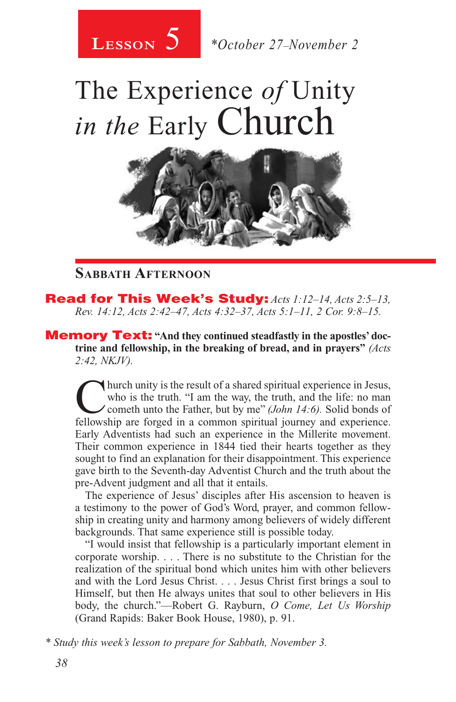

# The Experience *of* Unity *in the* Early Church



### **Sabbath Afternoon**

Read for This Week's Study: *Acts 1:12–14, Acts 2:5–13, Rev. 14:12, Acts 2:42–47, Acts 4:32–37, Acts 5:1–11, 2 Cor. 9:8–15.*

**Memory Text:** "And they continued steadfastly in the apostles' doc**trine and fellowship, in the breaking of bread, and in prayers"** *(Acts 2:42, NKJV).* 

Thurch unity is the result of a shared spiritual experience in Jesus, who is the truth. "I am the way, the truth, and the life: no man cometh unto the Father, but by me" *(John 14:6)*. Solid bonds of fellowship are forged who is the truth. "I am the way, the truth, and the life: no man fellowship are forged in a common spiritual journey and experience. Early Adventists had such an experience in the Millerite movement. Their common experience in 1844 tied their hearts together as they sought to find an explanation for their disappointment. This experience gave birth to the Seventh-day Adventist Church and the truth about the pre-Advent judgment and all that it entails.

The experience of Jesus' disciples after His ascension to heaven is a testimony to the power of God's Word, prayer, and common fellowship in creating unity and harmony among believers of widely different backgrounds. That same experience still is possible today.

"I would insist that fellowship is a particularly important element in corporate worship. . . . There is no substitute to the Christian for the realization of the spiritual bond which unites him with other believers and with the Lord Jesus Christ. . . . Jesus Christ first brings a soul to Himself, but then He always unites that soul to other believers in His body, the church."—Robert G. Rayburn, *O Come, Let Us Worship*  (Grand Rapids: Baker Book House, 1980), p. 91.

*\* Study this week's lesson to prepare for Sabbath, November 3.*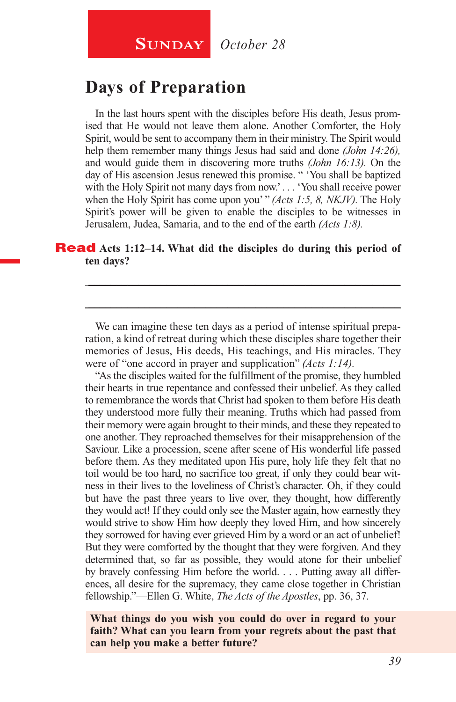## **Days of Preparation**

In the last hours spent with the disciples before His death, Jesus promised that He would not leave them alone. Another Comforter, the Holy Spirit, would be sent to accompany them in their ministry. The Spirit would help them remember many things Jesus had said and done *(John 14:26),*  and would guide them in discovering more truths *(John 16:13).* On the day of His ascension Jesus renewed this promise. " 'You shall be baptized with the Holy Spirit not many days from now.' . . . 'You shall receive power when the Holy Spirit has come upon you' " *(Acts 1:5, 8, NKJV)*. The Holy Spirit's power will be given to enable the disciples to be witnesses in Jerusalem, Judea, Samaria, and to the end of the earth *(Acts 1:8).* 

#### Read **Acts 1:12–14. What did the disciples do during this period of ten days?**

We can imagine these ten days as a period of intense spiritual preparation, a kind of retreat during which these disciples share together their memories of Jesus, His deeds, His teachings, and His miracles. They were of "one accord in prayer and supplication" *(Acts 1:14).*

\_\_\_\_\_\_\_\_\_\_\_\_\_\_\_\_\_\_\_\_\_\_\_\_\_\_\_\_\_\_\_\_\_\_\_\_\_\_\_\_\_\_\_\_\_\_\_\_\_\_\_\_\_\_\_\_

\_\_\_\_\_\_\_\_\_\_\_\_\_\_\_\_\_\_\_\_\_\_\_\_\_\_\_\_\_\_\_\_\_\_\_\_\_\_\_\_\_\_\_\_\_\_\_\_\_\_\_\_\_\_\_\_

"As the disciples waited for the fulfillment of the promise, they humbled their hearts in true repentance and confessed their unbelief. As they called to remembrance the words that Christ had spoken to them before His death they understood more fully their meaning. Truths which had passed from their memory were again brought to their minds, and these they repeated to one another. They reproached themselves for their misapprehension of the Saviour. Like a procession, scene after scene of His wonderful life passed before them. As they meditated upon His pure, holy life they felt that no toil would be too hard, no sacrifice too great, if only they could bear witness in their lives to the loveliness of Christ's character. Oh, if they could but have the past three years to live over, they thought, how differently they would act! If they could only see the Master again, how earnestly they would strive to show Him how deeply they loved Him, and how sincerely they sorrowed for having ever grieved Him by a word or an act of unbelief! But they were comforted by the thought that they were forgiven. And they determined that, so far as possible, they would atone for their unbelief by bravely confessing Him before the world. . . . Putting away all differences, all desire for the supremacy, they came close together in Christian fellowship."—Ellen G. White, *The Acts of the Apostles*, pp. 36, 37.

**What things do you wish you could do over in regard to your faith? What can you learn from your regrets about the past that can help you make a better future?**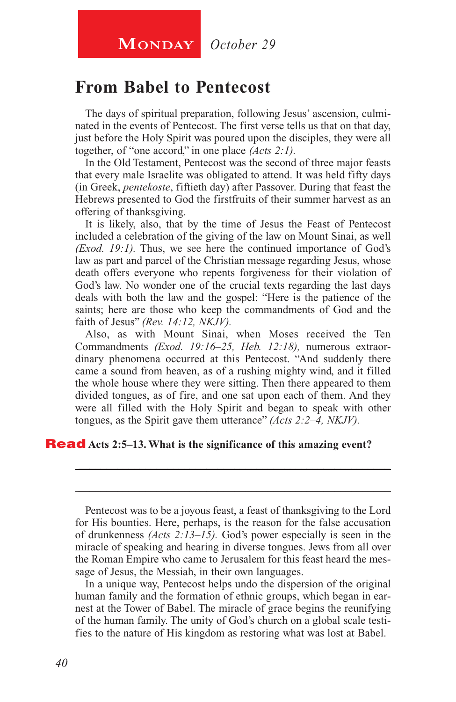## **From Babel to Pentecost**

The days of spiritual preparation, following Jesus' ascension, culminated in the events of Pentecost. The first verse tells us that on that day, just before the Holy Spirit was poured upon the disciples, they were all together, of "one accord," in one place *(Acts 2:1).*

In the Old Testament, Pentecost was the second of three major feasts that every male Israelite was obligated to attend. It was held fifty days (in Greek, *pentekoste*, fiftieth day) after Passover. During that feast the Hebrews presented to God the firstfruits of their summer harvest as an offering of thanksgiving.

It is likely, also, that by the time of Jesus the Feast of Pentecost included a celebration of the giving of the law on Mount Sinai, as well *(Exod. 19:1).* Thus, we see here the continued importance of God's law as part and parcel of the Christian message regarding Jesus, whose death offers everyone who repents forgiveness for their violation of God's law. No wonder one of the crucial texts regarding the last days deals with both the law and the gospel: "Here is the patience of the saints; here are those who keep the commandments of God and the faith of Jesus" *(Rev. 14:12, NKJV).*

Also, as with Mount Sinai, when Moses received the Ten Commandments *(Exod. 19:16–25, Heb. 12:18),* numerous extraordinary phenomena occurred at this Pentecost. "And suddenly there came a sound from heaven, as of a rushing mighty wind, and it filled the whole house where they were sitting. Then there appeared to them divided tongues, as of fire, and one sat upon each of them. And they were all filled with the Holy Spirit and began to speak with other tongues, as the Spirit gave them utterance" *(Acts 2:2–4, NKJV).*

#### Read **Acts 2:5–13. What is the significance of this amazing event?**

Pentecost was to be a joyous feast, a feast of thanksgiving to the Lord for His bounties. Here, perhaps, is the reason for the false accusation of drunkenness *(Acts 2:13–15).* God's power especially is seen in the miracle of speaking and hearing in diverse tongues. Jews from all over the Roman Empire who came to Jerusalem for this feast heard the message of Jesus, the Messiah, in their own languages.

\_\_\_\_\_\_\_\_\_\_\_\_\_\_\_\_\_\_\_\_\_\_\_\_\_\_\_\_\_\_\_\_\_\_\_\_\_\_\_\_\_\_\_\_\_\_\_\_\_\_\_\_\_\_\_\_

\_\_\_\_\_\_\_\_\_\_\_\_\_\_\_\_\_\_\_\_\_\_\_\_\_\_\_\_\_\_\_\_\_\_\_\_\_\_\_\_\_\_\_\_\_\_\_\_\_\_\_\_\_\_\_\_

In a unique way, Pentecost helps undo the dispersion of the original human family and the formation of ethnic groups, which began in earnest at the Tower of Babel. The miracle of grace begins the reunifying of the human family. The unity of God's church on a global scale testifies to the nature of His kingdom as restoring what was lost at Babel.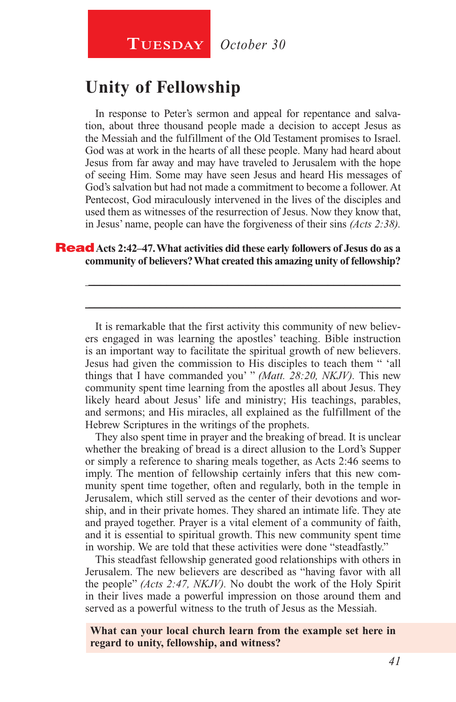# **Unity of Fellowship**

In response to Peter's sermon and appeal for repentance and salvation, about three thousand people made a decision to accept Jesus as the Messiah and the fulfillment of the Old Testament promises to Israel. God was at work in the hearts of all these people. Many had heard about Jesus from far away and may have traveled to Jerusalem with the hope of seeing Him. Some may have seen Jesus and heard His messages of God's salvation but had not made a commitment to become a follower. At Pentecost, God miraculously intervened in the lives of the disciples and used them as witnesses of the resurrection of Jesus. Now they know that, in Jesus' name, people can have the forgiveness of their sins *(Acts 2:38).*

#### Read **Acts 2:42–47. What activities did these early followers of Jesus do as a community of believers? What created this amazing unity of fellowship?**

It is remarkable that the first activity this community of new believers engaged in was learning the apostles' teaching. Bible instruction is an important way to facilitate the spiritual growth of new believers. Jesus had given the commission to His disciples to teach them " 'all things that I have commanded you' " *(Matt. 28:20, NKJV).* This new community spent time learning from the apostles all about Jesus. They likely heard about Jesus' life and ministry; His teachings, parables, and sermons; and His miracles, all explained as the fulfillment of the Hebrew Scriptures in the writings of the prophets.

\_\_\_\_\_\_\_\_\_\_\_\_\_\_\_\_\_\_\_\_\_\_\_\_\_\_\_\_\_\_\_\_\_\_\_\_\_\_\_\_\_\_\_\_\_\_\_\_\_\_\_\_\_\_\_\_

\_\_\_\_\_\_\_\_\_\_\_\_\_\_\_\_\_\_\_\_\_\_\_\_\_\_\_\_\_\_\_\_\_\_\_\_\_\_\_\_\_\_\_\_\_\_\_\_\_\_\_\_\_\_\_\_

They also spent time in prayer and the breaking of bread. It is unclear whether the breaking of bread is a direct allusion to the Lord's Supper or simply a reference to sharing meals together, as Acts 2:46 seems to imply. The mention of fellowship certainly infers that this new community spent time together, often and regularly, both in the temple in Jerusalem, which still served as the center of their devotions and worship, and in their private homes. They shared an intimate life. They ate and prayed together. Prayer is a vital element of a community of faith, and it is essential to spiritual growth. This new community spent time in worship. We are told that these activities were done "steadfastly."

This steadfast fellowship generated good relationships with others in Jerusalem. The new believers are described as "having favor with all the people" *(Acts 2:47, NKJV).* No doubt the work of the Holy Spirit in their lives made a powerful impression on those around them and served as a powerful witness to the truth of Jesus as the Messiah.

**What can your local church learn from the example set here in regard to unity, fellowship, and witness?**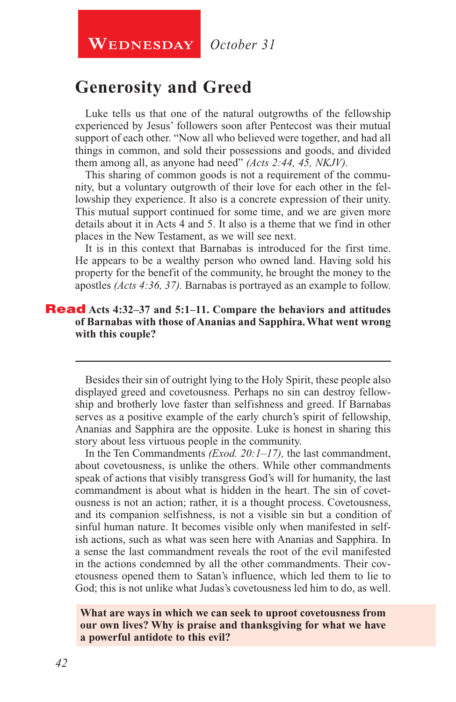**WEDNESDAY** October 31

# **Generosity and Greed**

Luke tells us that one of the natural outgrowths of the fellowship experienced by Jesus' followers soon after Pentecost was their mutual support of each other. "Now all who believed were together, and had all things in common, and sold their possessions and goods, and divided them among all, as anyone had need" *(Acts 2:44, 45, NKJV).*

This sharing of common goods is not a requirement of the community, but a voluntary outgrowth of their love for each other in the fellowship they experience. It also is a concrete expression of their unity. This mutual support continued for some time, and we are given more details about it in Acts 4 and 5. It also is a theme that we find in other places in the New Testament, as we will see next.

It is in this context that Barnabas is introduced for the first time. He appears to be a wealthy person who owned land. Having sold his property for the benefit of the community, he brought the money to the apostles *(Acts 4:36, 37).* Barnabas is portrayed as an example to follow.

#### Read **Acts 4:32–37 and 5:1–11. Compare the behaviors and attitudes of Barnabas with those of Ananias and Sapphira. What went wrong with this couple?**

Besides their sin of outright lying to the Holy Spirit, these people also displayed greed and covetousness. Perhaps no sin can destroy fellowship and brotherly love faster than selfishness and greed. If Barnabas serves as a positive example of the early church's spirit of fellowship, Ananias and Sapphira are the opposite. Luke is honest in sharing this story about less virtuous people in the community.

\_\_\_\_\_\_\_\_\_\_\_\_\_\_\_\_\_\_\_\_\_\_\_\_\_\_\_\_\_\_\_\_\_\_\_\_\_\_\_\_\_\_\_\_\_\_\_\_\_\_\_\_\_\_\_\_

In the Ten Commandments *(Exod. 20:1–17),* the last commandment, about covetousness, is unlike the others. While other commandments speak of actions that visibly transgress God's will for humanity, the last commandment is about what is hidden in the heart. The sin of covetousness is not an action; rather, it is a thought process. Covetousness, and its companion selfishness, is not a visible sin but a condition of sinful human nature. It becomes visible only when manifested in selfish actions, such as what was seen here with Ananias and Sapphira. In a sense the last commandment reveals the root of the evil manifested in the actions condemned by all the other commandments. Their covetousness opened them to Satan's influence, which led them to lie to God; this is not unlike what Judas's covetousness led him to do, as well.

#### **What are ways in which we can seek to uproot covetousness from our own lives? Why is praise and thanksgiving for what we have a powerful antidote to this evil?**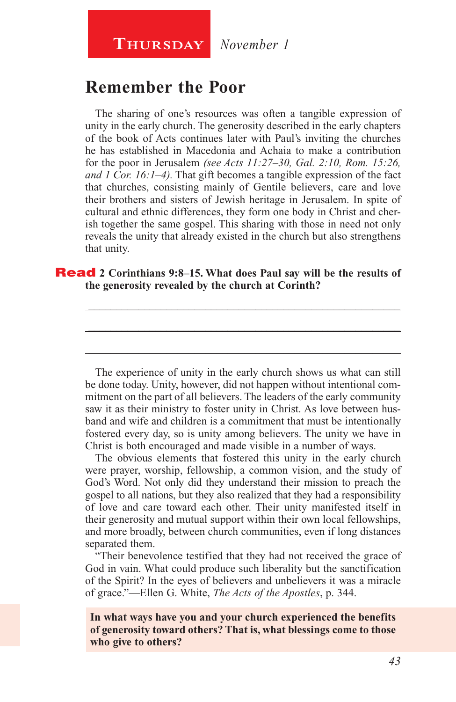# **Remember the Poor**

The sharing of one's resources was often a tangible expression of unity in the early church. The generosity described in the early chapters of the book of Acts continues later with Paul's inviting the churches he has established in Macedonia and Achaia to make a contribution for the poor in Jerusalem *(see Acts 11:27–30, Gal. 2:10, Rom. 15:26, and 1 Cor. 16:1–4).* That gift becomes a tangible expression of the fact that churches, consisting mainly of Gentile believers, care and love their brothers and sisters of Jewish heritage in Jerusalem. In spite of cultural and ethnic differences, they form one body in Christ and cherish together the same gospel. This sharing with those in need not only reveals the unity that already existed in the church but also strengthens that unity.

#### Read **2 Corinthians 9:8–15. What does Paul say will be the results of the generosity revealed by the church at Corinth?**

\_\_\_\_\_\_\_\_\_\_\_\_\_\_\_\_\_\_\_\_\_\_\_\_\_\_\_\_\_\_\_\_\_\_\_\_\_\_\_\_\_\_\_\_\_\_\_\_\_\_\_\_\_\_\_\_ \_\_\_\_\_\_\_\_\_\_\_\_\_\_\_\_\_\_\_\_\_\_\_\_\_\_\_\_\_\_\_\_\_\_\_\_\_\_\_\_\_\_\_\_\_\_\_\_\_\_\_\_\_\_\_\_

\_\_\_\_\_\_\_\_\_\_\_\_\_\_\_\_\_\_\_\_\_\_\_\_\_\_\_\_\_\_\_\_\_\_\_\_\_\_\_\_\_\_\_\_\_\_\_\_\_\_\_\_\_\_\_\_

The experience of unity in the early church shows us what can still be done today. Unity, however, did not happen without intentional commitment on the part of all believers. The leaders of the early community saw it as their ministry to foster unity in Christ. As love between husband and wife and children is a commitment that must be intentionally fostered every day, so is unity among believers. The unity we have in Christ is both encouraged and made visible in a number of ways.

The obvious elements that fostered this unity in the early church were prayer, worship, fellowship, a common vision, and the study of God's Word. Not only did they understand their mission to preach the gospel to all nations, but they also realized that they had a responsibility of love and care toward each other. Their unity manifested itself in their generosity and mutual support within their own local fellowships, and more broadly, between church communities, even if long distances separated them.

"Their benevolence testified that they had not received the grace of God in vain. What could produce such liberality but the sanctification of the Spirit? In the eyes of believers and unbelievers it was a miracle of grace."—Ellen G. White, *The Acts of the Apostles*, p. 344.

**In what ways have you and your church experienced the benefits of generosity toward others? That is, what blessings come to those who give to others?**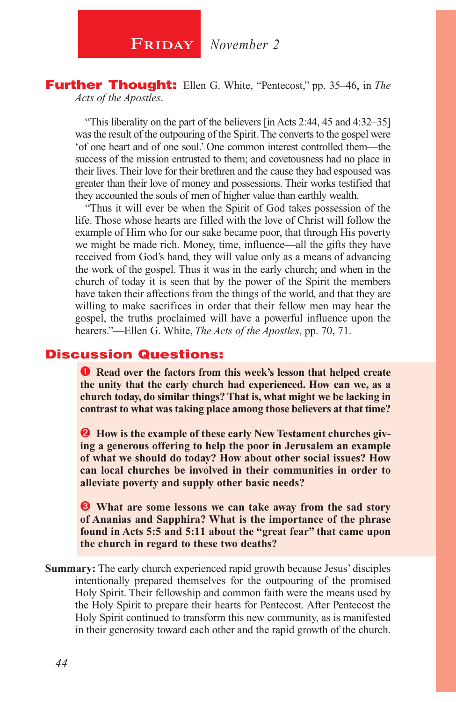**FRIDAY** November 2

#### Further Thought: Ellen G. White, "Pentecost," pp. 35–46, in *The Acts of the Apostles*.

"This liberality on the part of the believers [in Acts 2:44, 45 and 4:32–35] was the result of the outpouring of the Spirit. The converts to the gospel were 'of one heart and of one soul.' One common interest controlled them—the success of the mission entrusted to them; and covetousness had no place in their lives. Their love for their brethren and the cause they had espoused was greater than their love of money and possessions. Their works testified that they accounted the souls of men of higher value than earthly wealth.

"Thus it will ever be when the Spirit of God takes possession of the life. Those whose hearts are filled with the love of Christ will follow the example of Him who for our sake became poor, that through His poverty we might be made rich. Money, time, influence—all the gifts they have received from God's hand, they will value only as a means of advancing the work of the gospel. Thus it was in the early church; and when in the church of today it is seen that by the power of the Spirit the members have taken their affections from the things of the world, and that they are willing to make sacrifices in order that their fellow men may hear the gospel, the truths proclaimed will have a powerful influence upon the hearers."—Ellen G. White, *The Acts of the Apostles*, pp. 70, 71.

#### Discussion Questions:

**C** Read over the factors from this week's lesson that helped create **the unity that the early church had experienced. How can we, as a church today, do similar things? That is, what might we be lacking in contrast to what was taking place among those believers at that time?**

**2** How is the example of these early New Testament churches giv**ing a generous offering to help the poor in Jerusalem an example of what we should do today? How about other social issues? How can local churches be involved in their communities in order to alleviate poverty and supply other basic needs?**

 **What are some lessons we can take away from the sad story of Ananias and Sapphira? What is the importance of the phrase found in Acts 5:5 and 5:11 about the "great fear" that came upon the church in regard to these two deaths?**

**Summary:** The early church experienced rapid growth because Jesus' disciples intentionally prepared themselves for the outpouring of the promised Holy Spirit. Their fellowship and common faith were the means used by the Holy Spirit to prepare their hearts for Pentecost. After Pentecost the Holy Spirit continued to transform this new community, as is manifested in their generosity toward each other and the rapid growth of the church.